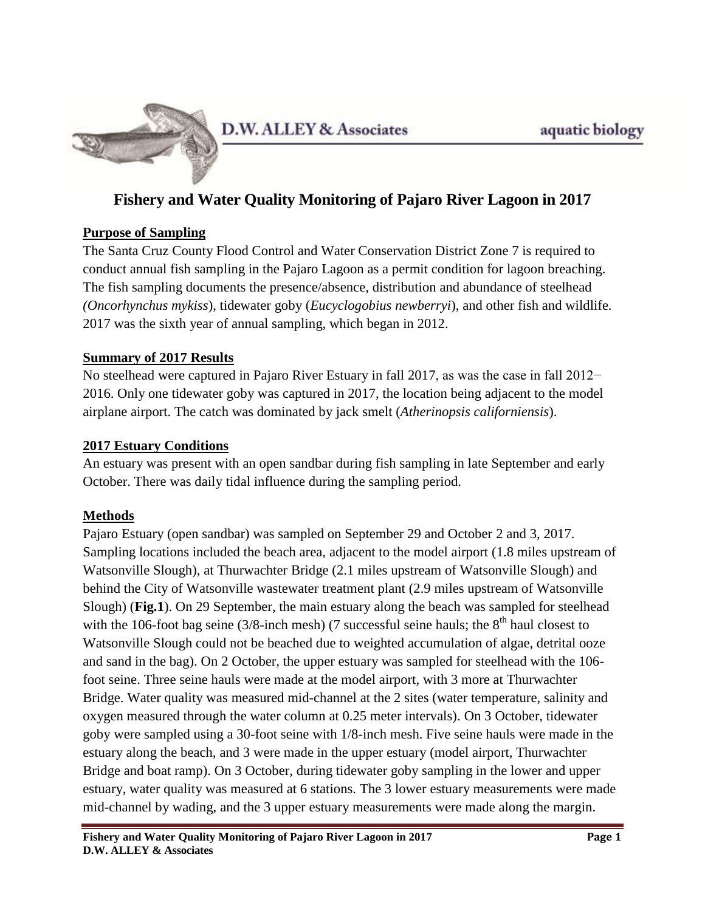

# **Fishery and Water Quality Monitoring of Pajaro River Lagoon in 2017**

## **Purpose of Sampling**

The Santa Cruz County Flood Control and Water Conservation District Zone 7 is required to conduct annual fish sampling in the Pajaro Lagoon as a permit condition for lagoon breaching. The fish sampling documents the presence/absence, distribution and abundance of steelhead *(Oncorhynchus mykiss*), tidewater goby (*Eucyclogobius newberryi*), and other fish and wildlife. 2017 was the sixth year of annual sampling, which began in 2012.

## **Summary of 2017 Results**

No steelhead were captured in Pajaro River Estuary in fall 2017, as was the case in fall 2012− 2016. Only one tidewater goby was captured in 2017, the location being adjacent to the model airplane airport. The catch was dominated by jack smelt (*Atherinopsis californiensis*).

## **2017 Estuary Conditions**

An estuary was present with an open sandbar during fish sampling in late September and early October. There was daily tidal influence during the sampling period.

## **Methods**

Pajaro Estuary (open sandbar) was sampled on September 29 and October 2 and 3, 2017. Sampling locations included the beach area, adjacent to the model airport (1.8 miles upstream of Watsonville Slough), at Thurwachter Bridge (2.1 miles upstream of Watsonville Slough) and behind the City of Watsonville wastewater treatment plant (2.9 miles upstream of Watsonville Slough) (**Fig.1**). On 29 September, the main estuary along the beach was sampled for steelhead with the 106-foot bag seine (3/8-inch mesh) (7 successful seine hauls; the  $8<sup>th</sup>$  haul closest to Watsonville Slough could not be beached due to weighted accumulation of algae, detrital ooze and sand in the bag). On 2 October, the upper estuary was sampled for steelhead with the 106 foot seine. Three seine hauls were made at the model airport, with 3 more at Thurwachter Bridge. Water quality was measured mid-channel at the 2 sites (water temperature, salinity and oxygen measured through the water column at 0.25 meter intervals). On 3 October, tidewater goby were sampled using a 30-foot seine with 1/8-inch mesh. Five seine hauls were made in the estuary along the beach, and 3 were made in the upper estuary (model airport, Thurwachter Bridge and boat ramp). On 3 October, during tidewater goby sampling in the lower and upper estuary, water quality was measured at 6 stations. The 3 lower estuary measurements were made mid-channel by wading, and the 3 upper estuary measurements were made along the margin.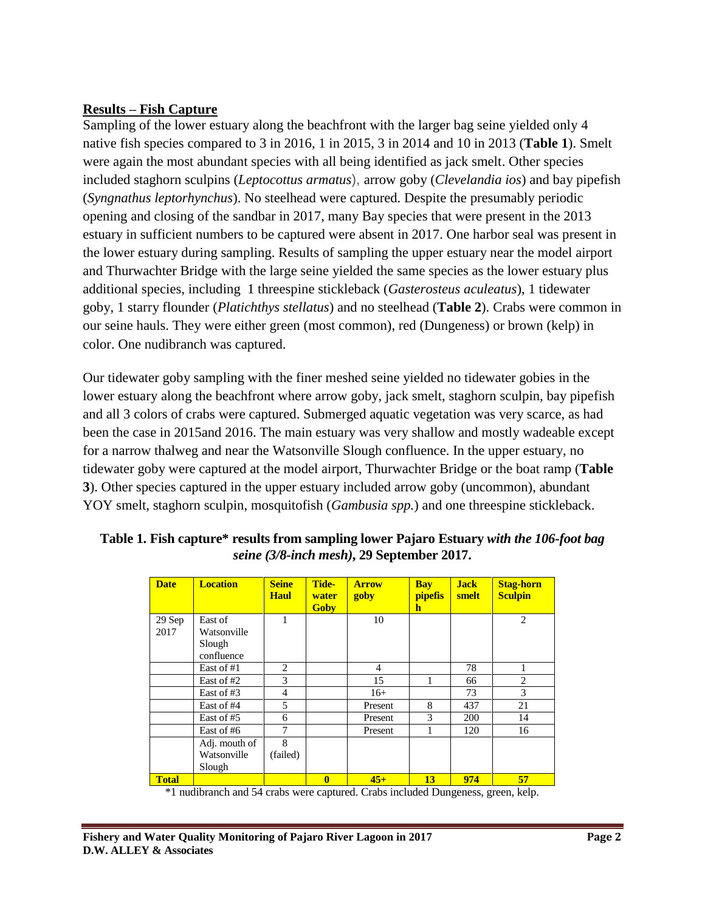#### **Results – Fish Capture**

Sampling of the lower estuary along the beachfront with the larger bag seine yielded only 4 native fish species compared to 3 in 2016, 1 in 2015, 3 in 2014 and 10 in 2013 (**Table 1**). Smelt were again the most abundant species with all being identified as jack smelt. Other species included staghorn sculpins (*Leptocottus armatus*), arrow goby (*Clevelandia ios*) and bay pipefish (*Syngnathus leptorhynchus*). No steelhead were captured. Despite the presumably periodic opening and closing of the sandbar in 2017, many Bay species that were present in the 2013 estuary in sufficient numbers to be captured were absent in 2017. One harbor seal was present in the lower estuary during sampling. Results of sampling the upper estuary near the model airport and Thurwachter Bridge with the large seine yielded the same species as the lower estuary plus additional species, including 1 threespine stickleback (*Gasterosteus aculeatus*), 1 tidewater goby, 1 starry flounder (*Platichthys stellatus*) and no steelhead (**Table 2**). Crabs were common in our seine hauls. They were either green (most common), red (Dungeness) or brown (kelp) in color. One nudibranch was captured.

Our tidewater goby sampling with the finer meshed seine yielded no tidewater gobies in the lower estuary along the beachfront where arrow goby, jack smelt, staghorn sculpin, bay pipefish and all 3 colors of crabs were captured. Submerged aquatic vegetation was very scarce, as had been the case in 2015and 2016. The main estuary was very shallow and mostly wadeable except for a narrow thalweg and near the Watsonville Slough confluence. In the upper estuary, no tidewater goby were captured at the model airport, Thurwachter Bridge or the boat ramp (**Table 3**). Other species captured in the upper estuary included arrow goby (uncommon), abundant YOY smelt, staghorn sculpin, mosquitofish (*Gambusia spp.*) and one threespine stickleback.

| <b>Date</b>  | <b>Location</b> | <b>Seine</b><br><b>Haul</b> | Tide-<br>water<br><b>Goby</b> | <b>Arrow</b><br>goby | <b>Bay</b><br>pipefis<br>$\mathbf{h}$ | <b>Jack</b><br>smelt | <b>Stag-horn</b><br><b>Sculpin</b> |
|--------------|-----------------|-----------------------------|-------------------------------|----------------------|---------------------------------------|----------------------|------------------------------------|
| 29 Sep       | East of         | 1                           |                               | 10                   |                                       |                      | $\overline{2}$                     |
| 2017         | Watsonville     |                             |                               |                      |                                       |                      |                                    |
|              | Slough          |                             |                               |                      |                                       |                      |                                    |
|              | confluence      |                             |                               |                      |                                       |                      |                                    |
|              | East of #1      | 2                           |                               | 4                    |                                       | 78                   |                                    |
|              | East of #2      | 3                           |                               | 15                   |                                       | 66                   | $\overline{c}$                     |
|              | East of #3      | 4                           |                               | $16+$                |                                       | 73                   | 3                                  |
|              | East of #4      | 5                           |                               | Present              | 8                                     | 437                  | 21                                 |
|              | East of #5      | 6                           |                               | Present              | 3                                     | 200                  | 14                                 |
|              | East of #6      | 7                           |                               | Present              |                                       | 120                  | 16                                 |
|              | Adj. mouth of   | 8                           |                               |                      |                                       |                      |                                    |
|              | Watsonville     | (failed)                    |                               |                      |                                       |                      |                                    |
|              | Slough          |                             |                               |                      |                                       |                      |                                    |
| <b>Total</b> |                 |                             | $\bf{0}$                      | $45+$                | 13                                    | 974                  | 57                                 |

**Table 1. Fish capture\* results from sampling lower Pajaro Estuary** *with the 106-foot bag seine (3/8-inch mesh)***, 29 September 2017.**

\*1 nudibranch and 54 crabs were captured. Crabs included Dungeness, green, kelp.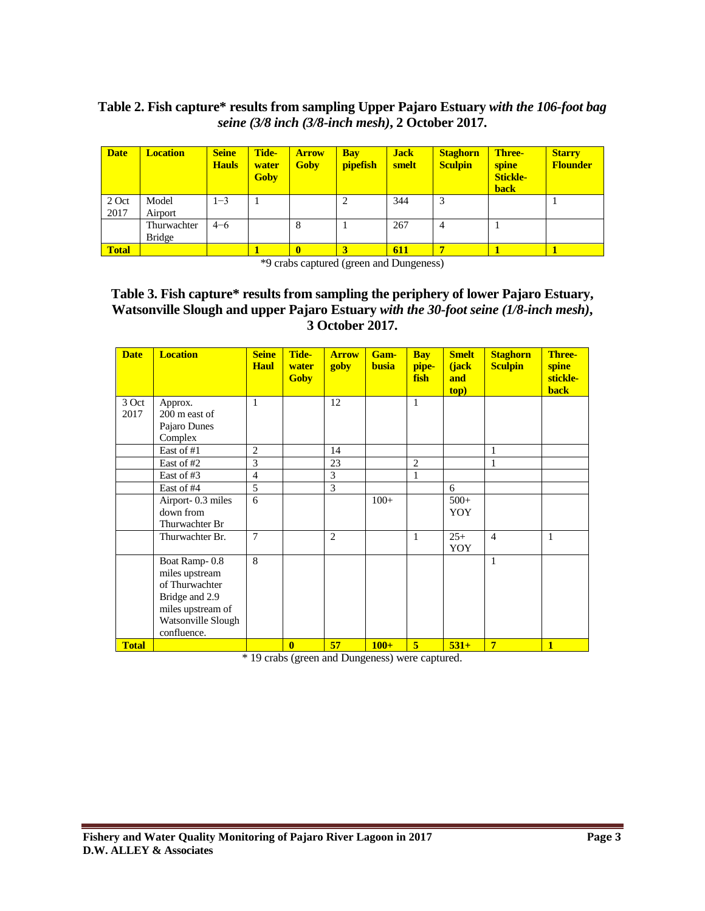### **Table 2. Fish capture\* results from sampling Upper Pajaro Estuary** *with the 106-foot bag seine (3/8 inch (3/8-inch mesh)***, 2 October 2017.**

| <b>Date</b>  | <b>Location</b> | <b>Seine</b><br><b>Hauls</b> | Tide-<br>water<br><b>Goby</b> | <b>Arrow</b><br><b>Goby</b> | <b>Bay</b><br>pipefish | <b>Jack</b><br>smelt | <b>Staghorn</b><br><b>Sculpin</b> | <b>Three-</b><br>spine<br><b>Stickle-</b><br><b>back</b> | <b>Starry</b><br><b>Flounder</b> |
|--------------|-----------------|------------------------------|-------------------------------|-----------------------------|------------------------|----------------------|-----------------------------------|----------------------------------------------------------|----------------------------------|
| 2 Oct        | Model           | $1 - 3$                      |                               |                             | 2                      | 344                  | 3                                 |                                                          |                                  |
| 2017         | Airport         |                              |                               |                             |                        |                      |                                   |                                                          |                                  |
|              | Thurwachter     | $4 - 6$                      |                               | 8                           |                        | 267                  | $\overline{4}$                    |                                                          |                                  |
|              | <b>Bridge</b>   |                              |                               |                             |                        |                      |                                   |                                                          |                                  |
| <b>Total</b> |                 |                              |                               |                             | 3                      | 611                  | $\mathbf{r}$                      |                                                          |                                  |

\*9 crabs captured (green and Dungeness)

#### **Table 3. Fish capture\* results from sampling the periphery of lower Pajaro Estuary, Watsonville Slough and upper Pajaro Estuary** *with the 30-foot seine (1/8-inch mesh)***, 3 October 2017.**

| <b>Date</b>   | <b>Location</b>                                                                                                               | <b>Seine</b><br><b>Haul</b> | Tide-<br>water<br><b>Goby</b> | <b>Arrow</b><br>goby | Gam-<br><b>busia</b> | <b>Bay</b><br>pipe-<br>fish | <b>Smelt</b><br>(jack<br>and<br>top) | <b>Staghorn</b><br><b>Sculpin</b> | <b>Three-</b><br>spine<br>stickle-<br><b>back</b> |
|---------------|-------------------------------------------------------------------------------------------------------------------------------|-----------------------------|-------------------------------|----------------------|----------------------|-----------------------------|--------------------------------------|-----------------------------------|---------------------------------------------------|
| 3 Oct<br>2017 | Approx.<br>200 m east of<br>Pajaro Dunes<br>Complex                                                                           | $\mathbf{1}$                |                               | 12                   |                      | $\mathbf{1}$                |                                      |                                   |                                                   |
|               | East of #1<br>East of #2                                                                                                      | $\overline{2}$<br>3         |                               | 14<br>23             |                      | $\overline{2}$              |                                      | 1                                 |                                                   |
|               | East of #3                                                                                                                    | $\overline{4}$              |                               | 3                    |                      | 1                           |                                      |                                   |                                                   |
|               | East of #4                                                                                                                    | 5                           |                               | 3                    |                      |                             | 6                                    |                                   |                                                   |
|               | Airport-0.3 miles<br>down from<br>Thurwachter Br                                                                              | 6                           |                               |                      | $100+$               |                             | $500+$<br>YOY                        |                                   |                                                   |
|               | Thurwachter Br.                                                                                                               | $\tau$                      |                               | $\overline{2}$       |                      | $\mathbf{1}$                | $25+$<br>YOY                         | $\overline{4}$                    | $\mathbf{1}$                                      |
|               | Boat Ramp-0.8<br>miles upstream<br>of Thurwachter<br>Bridge and 2.9<br>miles upstream of<br>Watsonville Slough<br>confluence. | 8                           |                               |                      |                      |                             |                                      | $\mathbf{1}$                      |                                                   |
| <b>Total</b>  |                                                                                                                               |                             | $\mathbf{0}$                  | 57                   | $100+$               | 5                           | $531+$                               | $\overline{7}$                    | $\mathbf{1}$                                      |

\* 19 crabs (green and Dungeness) were captured.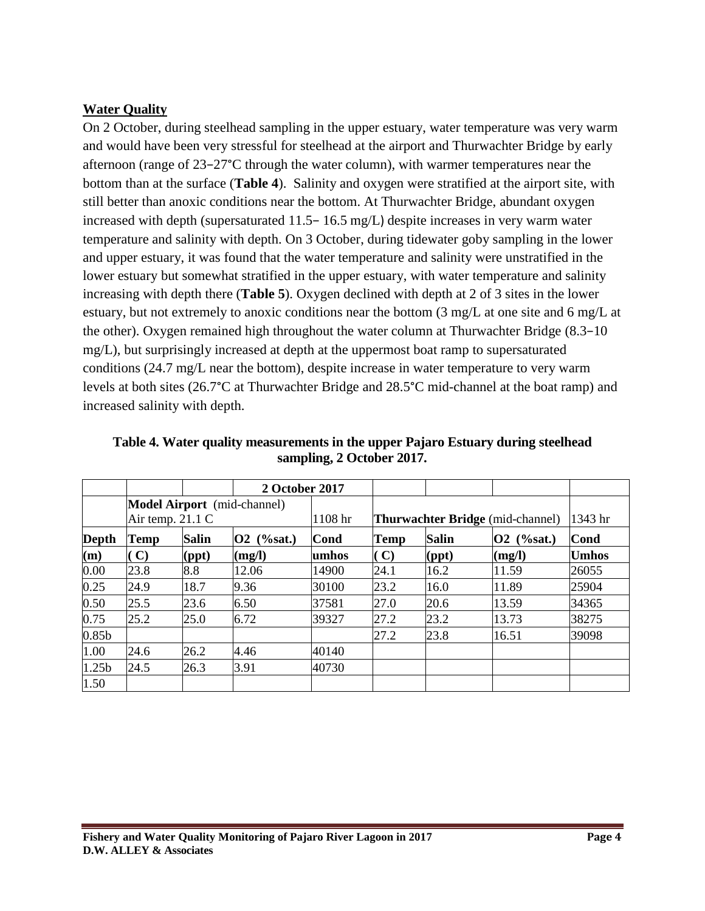### **Water Quality**

On 2 October, during steelhead sampling in the upper estuary, water temperature was very warm and would have been very stressful for steelhead at the airport and Thurwachter Bridge by early afternoon (range of 23−27°C through the water column), with warmer temperatures near the bottom than at the surface (**Table 4**). Salinity and oxygen were stratified at the airport site, with still better than anoxic conditions near the bottom. At Thurwachter Bridge, abundant oxygen increased with depth (supersaturated 11.5− 16.5 mg/L) despite increases in very warm water temperature and salinity with depth. On 3 October, during tidewater goby sampling in the lower and upper estuary, it was found that the water temperature and salinity were unstratified in the lower estuary but somewhat stratified in the upper estuary, with water temperature and salinity increasing with depth there (**Table 5**). Oxygen declined with depth at 2 of 3 sites in the lower estuary, but not extremely to anoxic conditions near the bottom (3 mg/L at one site and 6 mg/L at the other). Oxygen remained high throughout the water column at Thurwachter Bridge (8.3−10 mg/L), but surprisingly increased at depth at the uppermost boat ramp to supersaturated conditions (24.7 mg/L near the bottom), despite increase in water temperature to very warm levels at both sites (26.7°C at Thurwachter Bridge and 28.5°C mid-channel at the boat ramp) and increased salinity with depth.

|                   |              |                            | 2 October 2017              |         |      |              |                                         |              |
|-------------------|--------------|----------------------------|-----------------------------|---------|------|--------------|-----------------------------------------|--------------|
|                   |              | Air temp. $21.1 \text{ C}$ | Model Airport (mid-channel) | 1108 hr |      |              | <b>Thurwachter Bridge</b> (mid-channel) | 1343 hr      |
| Depth             | Temp         | <b>Salin</b>               | <b>O2</b> (%sat.)           | Cond    | Temp | <b>Salin</b> | <b>O2</b> (%sat.)                       | <b>Cond</b>  |
| (m)               | $\mathbf{C}$ | (ppt)                      | (mg/l)                      | umhos   | (C)  | (ppt)        | (mg/l)                                  | <b>Umhos</b> |
| 0.00              | 23.8         | 8.8                        | 12.06                       | 14900   | 24.1 | 16.2         | 11.59                                   | 26055        |
| 0.25              | 24.9         | 18.7                       | 9.36                        | 30100   | 23.2 | 16.0         | 11.89                                   | 25904        |
| 0.50              | 25.5         | 23.6                       | 6.50                        | 37581   | 27.0 | 20.6         | 13.59                                   | 34365        |
| 0.75              | 25.2         | 25.0                       | 6.72                        | 39327   | 27.2 | 23.2         | 13.73                                   | 38275        |
| 0.85 <sub>b</sub> |              |                            |                             |         | 27.2 | 23.8         | 16.51                                   | 39098        |
| 1.00              | 24.6         | 26.2                       | 4.46                        | 40140   |      |              |                                         |              |
| 1.25 <sub>b</sub> | 24.5         | 26.3                       | 3.91                        | 40730   |      |              |                                         |              |
| 1.50              |              |                            |                             |         |      |              |                                         |              |

**Table 4. Water quality measurements in the upper Pajaro Estuary during steelhead sampling, 2 October 2017.**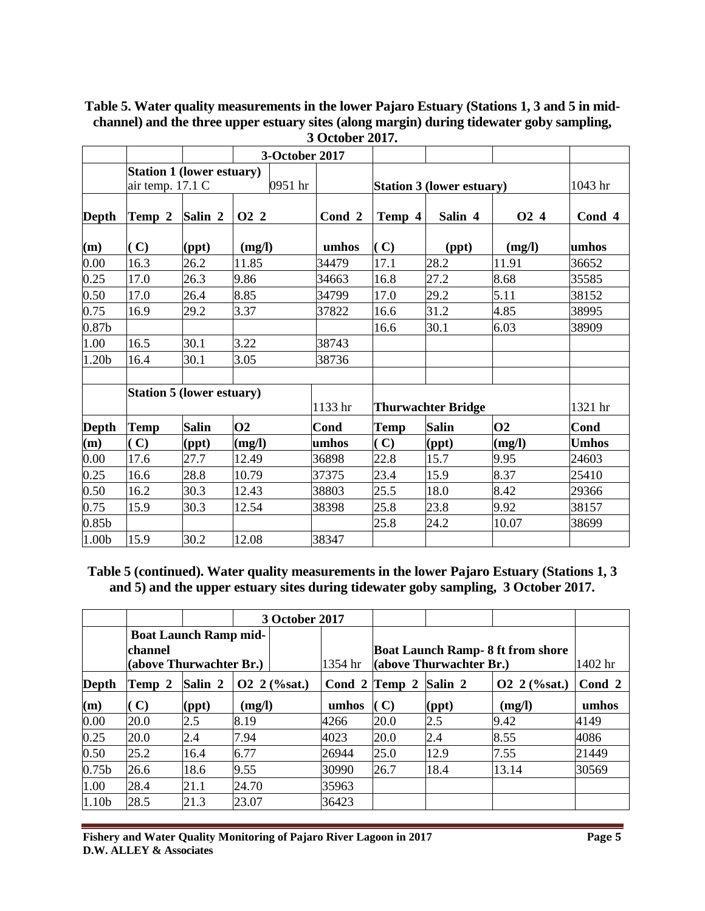|                   |                  |                                  |                  | 3-October 2017 |         |                                  |                           |                  |              |
|-------------------|------------------|----------------------------------|------------------|----------------|---------|----------------------------------|---------------------------|------------------|--------------|
|                   | air temp. 17.1 C | <b>Station 1 (lower estuary)</b> |                  | 0951 hr        |         | <b>Station 3 (lower estuary)</b> |                           |                  | 1043 hr      |
| Depth             | Temp 2           | Salin 2                          | O <sub>2</sub> 2 |                | Cond 2  | Temp 4                           | Salin 4                   | O <sub>2</sub> 4 | Cond 4       |
| (m)               | (C)              | (ppt)                            | (mg/l)           |                | umhos   | (C)                              | (ppt)                     | (mg/l)           | umhos        |
| 0.00              | 16.3             | 26.2                             | 11.85            |                | 34479   | 17.1                             | 28.2                      | 11.91            | 36652        |
| 0.25              | 17.0             | 26.3                             | 9.86             |                | 34663   | 16.8                             | 27.2                      | 8.68             | 35585        |
| 0.50              | 17.0             | 26.4                             | 8.85             |                | 34799   | 17.0                             | 29.2                      | 5.11             | 38152        |
| 0.75              | 16.9             | 29.2                             | 3.37             |                | 37822   | 16.6                             | 31.2                      | 4.85             | 38995        |
| 0.87 <sub>b</sub> |                  |                                  |                  |                |         | 16.6                             | 30.1                      | 6.03             | 38909        |
| 1.00              | 16.5             | 30.1                             | 3.22             |                | 38743   |                                  |                           |                  |              |
| 1.20b             | 16.4             | 30.1                             | 3.05             |                | 38736   |                                  |                           |                  |              |
|                   |                  | <b>Station 5 (lower estuary)</b> |                  |                | 1133 hr |                                  | <b>Thurwachter Bridge</b> |                  | 1321 hr      |
| <b>Depth</b>      | <b>Temp</b>      | <b>Salin</b>                     | <b>O2</b>        |                | Cond    | <b>Temp</b>                      | <b>Salin</b>              | <b>O2</b>        | Cond         |
| (m)               | (C)              | $(\text{ppt})$                   | (mg/l)           |                | umhos   | (C)                              | (ppt)                     | (mg/l)           | <b>Umhos</b> |
| 0.00              | 17.6             | 27.7                             | 12.49            |                | 36898   | 22.8                             | 15.7                      | 9.95             | 24603        |
| 0.25              | 16.6             | 28.8                             | 10.79            |                | 37375   | 23.4                             | 15.9                      | 8.37             | 25410        |
| 0.50              | 16.2             | 30.3                             | 12.43            |                | 38803   | 25.5                             | 18.0                      | 8.42             | 29366        |
| 0.75              | 15.9             | 30.3                             | 12.54            |                | 38398   | 25.8                             | 23.8                      | 9.92             | 38157        |
| 0.85 <sub>b</sub> |                  |                                  |                  |                |         | 25.8                             | 24.2                      | 10.07            | 38699        |
| 1.00b             | 15.9             | 30.2                             | 12.08            |                | 38347   |                                  |                           |                  |              |

**Table 5. Water quality measurements in the lower Pajaro Estuary (Stations 1, 3 and 5 in midchannel) and the three upper estuary sites (along margin) during tidewater goby sampling, 3 October 2017.**

**Table 5 (continued). Water quality measurements in the lower Pajaro Estuary (Stations 1, 3 and 5) and the upper estuary sites during tidewater goby sampling, 3 October 2017.**

|                   |                                    |                              | 3 October 2017        |         |        |                         |                                         |         |
|-------------------|------------------------------------|------------------------------|-----------------------|---------|--------|-------------------------|-----------------------------------------|---------|
|                   | channel<br>(above Thurwachter Br.) | <b>Boat Launch Ramp mid-</b> |                       | 1354 hr |        | (above Thurwachter Br.) | <b>Boat Launch Ramp-8 ft from shore</b> | 1402 hr |
| Depth             | Temp 2                             | Salin 2                      | $Q2 \frac{2}$ (%sat.) | Cond 2  | Temp 2 | <b>Salin 2</b>          | O2 2 (% sat.)                           | Cond 2  |
| (m)               | (C)                                | (ppt)                        | (mg/l)                | umhos   | (C)    | (ppt)                   | (mg/l)                                  | umhos   |
| 0.00              | 20.0                               | 2.5                          | 8.19                  | 4266    | 20.0   | 2.5                     | 9.42                                    | 4149    |
| 0.25              | 20.0                               | 2.4                          | 7.94                  | 4023    | 20.0   | 2.4                     | 8.55                                    | 4086    |
| 0.50              | 25.2                               | 16.4                         | 6.77                  | 26944   | 25.0   | 12.9                    | 7.55                                    | 21449   |
| 0.75 <sub>b</sub> | 26.6                               | 18.6                         | 9.55                  | 30990   | 26.7   | 18.4                    | 13.14                                   | 30569   |
| 1.00              | 28.4                               | 21.1                         | 24.70                 | 35963   |        |                         |                                         |         |
| 1.10b             | 28.5                               | 21.3                         | 23.07                 | 36423   |        |                         |                                         |         |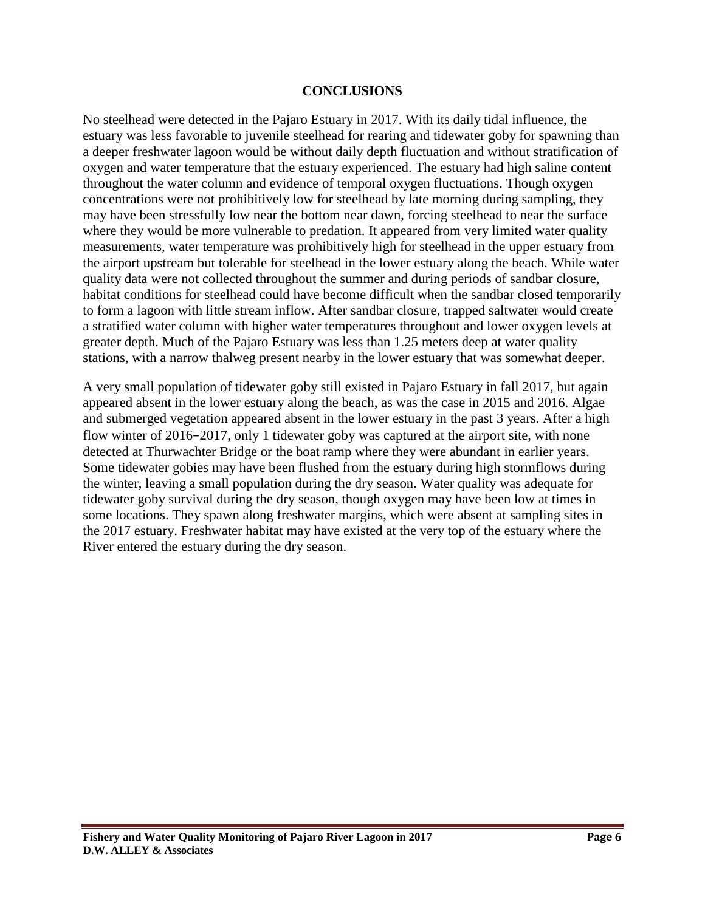#### **CONCLUSIONS**

No steelhead were detected in the Pajaro Estuary in 2017. With its daily tidal influence, the estuary was less favorable to juvenile steelhead for rearing and tidewater goby for spawning than a deeper freshwater lagoon would be without daily depth fluctuation and without stratification of oxygen and water temperature that the estuary experienced. The estuary had high saline content throughout the water column and evidence of temporal oxygen fluctuations. Though oxygen concentrations were not prohibitively low for steelhead by late morning during sampling, they may have been stressfully low near the bottom near dawn, forcing steelhead to near the surface where they would be more vulnerable to predation. It appeared from very limited water quality measurements, water temperature was prohibitively high for steelhead in the upper estuary from the airport upstream but tolerable for steelhead in the lower estuary along the beach. While water quality data were not collected throughout the summer and during periods of sandbar closure, habitat conditions for steelhead could have become difficult when the sandbar closed temporarily to form a lagoon with little stream inflow. After sandbar closure, trapped saltwater would create a stratified water column with higher water temperatures throughout and lower oxygen levels at greater depth. Much of the Pajaro Estuary was less than 1.25 meters deep at water quality stations, with a narrow thalweg present nearby in the lower estuary that was somewhat deeper.

A very small population of tidewater goby still existed in Pajaro Estuary in fall 2017, but again appeared absent in the lower estuary along the beach, as was the case in 2015 and 2016. Algae and submerged vegetation appeared absent in the lower estuary in the past 3 years. After a high flow winter of 2016−2017, only 1 tidewater goby was captured at the airport site, with none detected at Thurwachter Bridge or the boat ramp where they were abundant in earlier years. Some tidewater gobies may have been flushed from the estuary during high stormflows during the winter, leaving a small population during the dry season. Water quality was adequate for tidewater goby survival during the dry season, though oxygen may have been low at times in some locations. They spawn along freshwater margins, which were absent at sampling sites in the 2017 estuary. Freshwater habitat may have existed at the very top of the estuary where the River entered the estuary during the dry season.